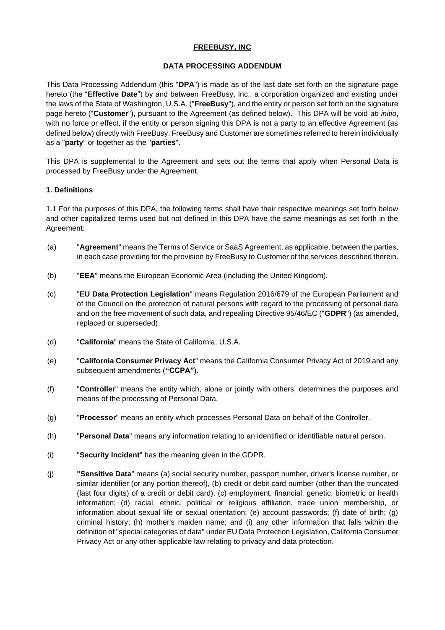## **FREEBUSY, INC**

## **DATA PROCESSING ADDENDUM**

This Data Processing Addendum (this "**DPA**") is made as of the last date set forth on the signature page hereto (the "**Effective Date**") by and between FreeBusy, Inc., a corporation organized and existing under the laws of the State of Washington, U.S.A. ("**FreeBusy**"), and the entity or person set forth on the signature page hereto ("**Customer**"), pursuant to the Agreement (as defined below). This DPA will be void *ab initio*, with no force or effect, if the entity or person signing this DPA is not a party to an effective Agreement (as defined below) directly with FreeBusy. FreeBusy and Customer are sometimes referred to herein individually as a "**party**" or together as the "**parties**".

This DPA is supplemental to the Agreement and sets out the terms that apply when Personal Data is processed by FreeBusy under the Agreement.

### **1. Definitions**

1.1 For the purposes of this DPA, the following terms shall have their respective meanings set forth below and other capitalized terms used but not defined in this DPA have the same meanings as set forth in the Agreement:

- (a) "**Agreement**" means the Terms of Service or SaaS Agreement, as applicable, between the parties, in each case providing for the provision by FreeBusy to Customer of the services described therein.
- (b) "**EEA**" means the European Economic Area (including the United Kingdom).
- (c) "**EU Data Protection Legislation**" means Regulation 2016/679 of the European Parliament and of the Council on the protection of natural persons with regard to the processing of personal data and on the free movement of such data, and repealing Directive 95/46/EC ("**GDPR**") (as amended, replaced or superseded).
- (d) "**California**" means the State of California, U.S.A.
- (e) "**California Consumer Privacy Act**" means the California Consumer Privacy Act of 2019 and any subsequent amendments (**"CCPA"**).
- (f) "**Controller**" means the entity which, alone or jointly with others, determines the purposes and means of the processing of Personal Data.
- (g) "**Processor**" means an entity which processes Personal Data on behalf of the Controller.
- (h) "**Personal Data**" means any information relating to an identified or identifiable natural person.
- (i) "**Security Incident**" has the meaning given in the GDPR.
- (j) **"Sensitive Data**" means (a) social security number, passport number, driver's license number, or similar identifier (or any portion thereof), (b) credit or debit card number (other than the truncated (last four digits) of a credit or debit card), (c) employment, financial, genetic, biometric or health information; (d) racial, ethnic, political or religious affiliation, trade union membership, or information about sexual life or sexual orientation; (e) account passwords; (f) date of birth; (g) criminal history; (h) mother's maiden name; and (i) any other information that falls within the definition of "special categories of data" under EU Data Protection Legislation, California Consumer Privacy Act or any other applicable law relating to privacy and data protection.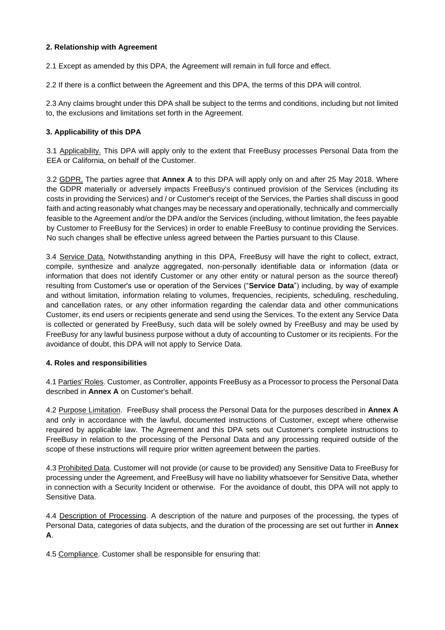## **2. Relationship with Agreement**

2.1 Except as amended by this DPA, the Agreement will remain in full force and effect.

2.2 If there is a conflict between the Agreement and this DPA, the terms of this DPA will control.

2.3 Any claims brought under this DPA shall be subject to the terms and conditions, including but not limited to, the exclusions and limitations set forth in the Agreement.

## **3. Applicability of this DPA**

3.1 Applicability. This DPA will apply only to the extent that FreeBusy processes Personal Data from the EEA or California, on behalf of the Customer.

3.2 GDPR. The parties agree that **Annex A** to this DPA will apply only on and after 25 May 2018. Where the GDPR materially or adversely impacts FreeBusy's continued provision of the Services (including its costs in providing the Services) and / or Customer's receipt of the Services, the Parties shall discuss in good faith and acting reasonably what changes may be necessary and operationally, technically and commercially feasible to the Agreement and/or the DPA and/or the Services (including, without limitation, the fees payable by Customer to FreeBusy for the Services) in order to enable FreeBusy to continue providing the Services. No such changes shall be effective unless agreed between the Parties pursuant to this Clause.

3.4 Service Data. Notwithstanding anything in this DPA, FreeBusy will have the right to collect, extract, compile, synthesize and analyze aggregated, non-personally identifiable data or information (data or information that does not identify Customer or any other entity or natural person as the source thereof) resulting from Customer's use or operation of the Services ("**Service Data**") including, by way of example and without limitation, information relating to volumes, frequencies, recipients, scheduling, rescheduling, and cancellation rates, or any other information regarding the calendar data and other communications Customer, its end users or recipients generate and send using the Services. To the extent any Service Data is collected or generated by FreeBusy, such data will be solely owned by FreeBusy and may be used by FreeBusy for any lawful business purpose without a duty of accounting to Customer or its recipients. For the avoidance of doubt, this DPA will not apply to Service Data.

### **4. Roles and responsibilities**

4.1 Parties' Roles. Customer, as Controller, appoints FreeBusy as a Processor to process the Personal Data described in **Annex A** on Customer's behalf.

4.2 Purpose Limitation. FreeBusy shall process the Personal Data for the purposes described in **Annex A** and only in accordance with the lawful, documented instructions of Customer, except where otherwise required by applicable law. The Agreement and this DPA sets out Customer's complete instructions to FreeBusy in relation to the processing of the Personal Data and any processing required outside of the scope of these instructions will require prior written agreement between the parties.

4.3 Prohibited Data. Customer will not provide (or cause to be provided) any Sensitive Data to FreeBusy for processing under the Agreement, and FreeBusy will have no liability whatsoever for Sensitive Data, whether in connection with a Security Incident or otherwise. For the avoidance of doubt, this DPA will not apply to Sensitive Data.

4.4 Description of Processing. A description of the nature and purposes of the processing, the types of Personal Data, categories of data subjects, and the duration of the processing are set out further in **Annex A**.

4.5 Compliance. Customer shall be responsible for ensuring that: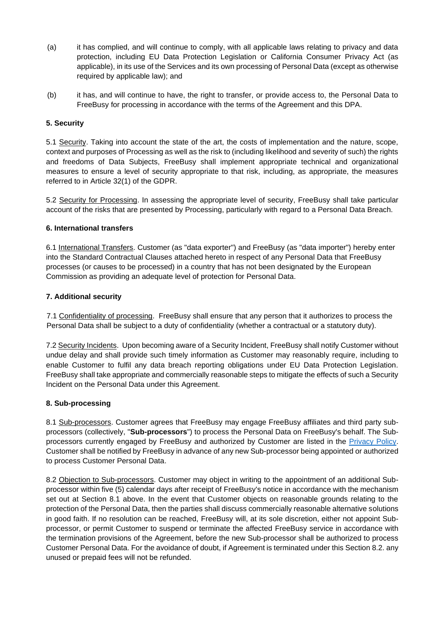- (a) it has complied, and will continue to comply, with all applicable laws relating to privacy and data protection, including EU Data Protection Legislation or California Consumer Privacy Act (as applicable), in its use of the Services and its own processing of Personal Data (except as otherwise required by applicable law); and
- (b) it has, and will continue to have, the right to transfer, or provide access to, the Personal Data to FreeBusy for processing in accordance with the terms of the Agreement and this DPA.

## **5. Security**

5.1 Security. Taking into account the state of the art, the costs of implementation and the nature, scope, context and purposes of Processing as well as the risk to (including likelihood and severity of such) the rights and freedoms of Data Subjects, FreeBusy shall implement appropriate technical and organizational measures to ensure a level of security appropriate to that risk, including, as appropriate, the measures referred to in Article 32(1) of the GDPR.

5.2 Security for Processing. In assessing the appropriate level of security, FreeBusy shall take particular account of the risks that are presented by Processing, particularly with regard to a Personal Data Breach.

### **6. International transfers**

6.1 International Transfers. Customer (as "data exporter") and FreeBusy (as "data importer") hereby enter into the Standard Contractual Clauses attached hereto in respect of any Personal Data that FreeBusy processes (or causes to be processed) in a country that has not been designated by the European Commission as providing an adequate level of protection for Personal Data.

## **7. Additional security**

7.1 Confidentiality of processing. FreeBusy shall ensure that any person that it authorizes to process the Personal Data shall be subject to a duty of confidentiality (whether a contractual or a statutory duty).

7.2 Security Incidents. Upon becoming aware of a Security Incident, FreeBusy shall notify Customer without undue delay and shall provide such timely information as Customer may reasonably require, including to enable Customer to fulfil any data breach reporting obligations under EU Data Protection Legislation*.*  FreeBusy shall take appropriate and commercially reasonable steps to mitigate the effects of such a Security Incident on the Personal Data under this Agreement.

### **8. Sub-processing**

8.1 Sub-processors. Customer agrees that FreeBusy may engage FreeBusy affiliates and third party subprocessors (collectively, "**Sub-processors**") to process the Personal Data on FreeBusy's behalf. The Subprocessors currently engaged by FreeBusy and authorized by Customer are listed in the [Privacy Policy.](https://freebusy.io/privacy) Customer shall be notified by FreeBusy in advance of any new Sub-processor being appointed or authorized to process Customer Personal Data.

8.2 Objection to Sub-processors. Customer may object in writing to the appointment of an additional Subprocessor within five (5) calendar days after receipt of FreeBusy's notice in accordance with the mechanism set out at Section 8.1 above. In the event that Customer objects on reasonable grounds relating to the protection of the Personal Data, then the parties shall discuss commercially reasonable alternative solutions in good faith. If no resolution can be reached, FreeBusy will, at its sole discretion, either not appoint Subprocessor, or permit Customer to suspend or terminate the affected FreeBusy service in accordance with the termination provisions of the Agreement, before the new Sub-processor shall be authorized to process Customer Personal Data. For the avoidance of doubt, if Agreement is terminated under this Section 8.2. any unused or prepaid fees will not be refunded.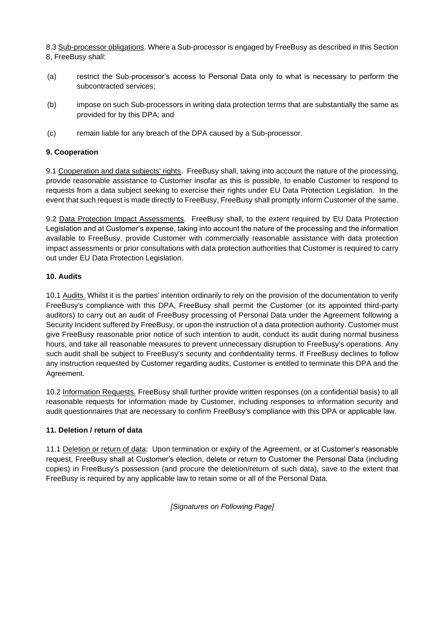8.3 Sub-processor obligations. Where a Sub-processor is engaged by FreeBusy as described in this Section 8, FreeBusy shall:

- (a) restrict the Sub-processor's access to Personal Data only to what is necessary to perform the subcontracted services;
- (b) impose on such Sub-processors in writing data protection terms that are substantially the same as provided for by this DPA; and
- (c) remain liable for any breach of the DPA caused by a Sub-processor.

## **9. Cooperation**

9.1 Cooperation and data subjects' rights. FreeBusy shall, taking into account the nature of the processing, provide reasonable assistance to Customer insofar as this is possible, to enable Customer to respond to requests from a data subject seeking to exercise their rights under EU Data Protection Legislation. In the event that such request is made directly to FreeBusy, FreeBusy shall promptly inform Customer of the same.

9.2 Data Protection Impact Assessments. FreeBusy shall, to the extent required by EU Data Protection Legislation and at Customer's expense, taking into account the nature of the processing and the information available to FreeBusy, provide Customer with commercially reasonable assistance with data protection impact assessments or prior consultations with data protection authorities that Customer is required to carry out under EU Data Protection Legislation.

## **10. Audits**

10.1 Audits. Whilst it is the parties' intention ordinarily to rely on the provision of the documentation to verify FreeBusy's compliance with this DPA, FreeBusy shall permit the Customer (or its appointed third-party auditors) to carry out an audit of FreeBusy processing of Personal Data under the Agreement following a Security Incident suffered by FreeBusy, or upon the instruction of a data protection authority. Customer must give FreeBusy reasonable prior notice of such intention to audit, conduct its audit during normal business hours, and take all reasonable measures to prevent unnecessary disruption to FreeBusy's operations. Any such audit shall be subject to FreeBusy's security and confidentiality terms. If FreeBusy declines to follow any instruction requested by Customer regarding audits, Customer is entitled to terminate this DPA and the Agreement.

10.2 Information Requests. FreeBusy shall further provide written responses (on a confidential basis) to all reasonable requests for information made by Customer, including responses to information security and audit questionnaires that are necessary to confirm FreeBusy's compliance with this DPA or applicable law.

### **11. Deletion / return of data**

11.1 Deletion or return of data: Upon termination or expiry of the Agreement, or at Customer's reasonable request, FreeBusy shall at Customer's election, delete or return to Customer the Personal Data (including copies) in FreeBusy's possession (and procure the deletion/return of such data), save to the extent that FreeBusy is required by any applicable law to retain some or all of the Personal Data.

*[Signatures on Following Page]*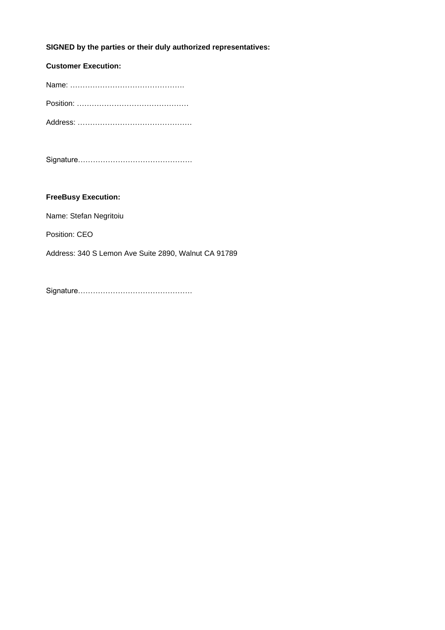## **SIGNED by the parties or their duly authorized representatives:**

**Customer Execution:**

Address: ……………………………………….

Signature……………………………………….

## **FreeBusy Execution:**

Name: Stefan Negritoiu

Position: CEO

Address: 340 S Lemon Ave Suite 2890, Walnut CA 91789

Signature……………………………………….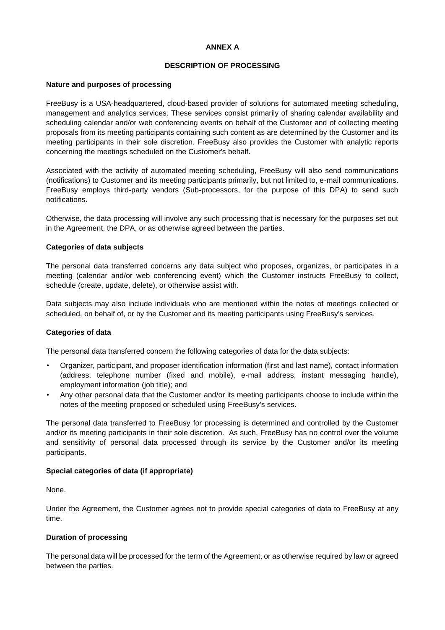#### **ANNEX A**

#### **DESCRIPTION OF PROCESSING**

#### **Nature and purposes of processing**

FreeBusy is a USA-headquartered, cloud-based provider of solutions for automated meeting scheduling, management and analytics services. These services consist primarily of sharing calendar availability and scheduling calendar and/or web conferencing events on behalf of the Customer and of collecting meeting proposals from its meeting participants containing such content as are determined by the Customer and its meeting participants in their sole discretion. FreeBusy also provides the Customer with analytic reports concerning the meetings scheduled on the Customer's behalf.

Associated with the activity of automated meeting scheduling, FreeBusy will also send communications (notifications) to Customer and its meeting participants primarily, but not limited to, e-mail communications. FreeBusy employs third-party vendors (Sub-processors, for the purpose of this DPA) to send such notifications.

Otherwise, the data processing will involve any such processing that is necessary for the purposes set out in the Agreement, the DPA, or as otherwise agreed between the parties.

#### **Categories of data subjects**

The personal data transferred concerns any data subject who proposes, organizes, or participates in a meeting (calendar and/or web conferencing event) which the Customer instructs FreeBusy to collect, schedule (create, update, delete), or otherwise assist with.

Data subjects may also include individuals who are mentioned within the notes of meetings collected or scheduled, on behalf of, or by the Customer and its meeting participants using FreeBusy's services.

#### **Categories of data**

The personal data transferred concern the following categories of data for the data subjects:

- Organizer, participant, and proposer identification information (first and last name), contact information (address, telephone number (fixed and mobile), e-mail address, instant messaging handle), employment information (job title); and
- Any other personal data that the Customer and/or its meeting participants choose to include within the notes of the meeting proposed or scheduled using FreeBusy's services.

The personal data transferred to FreeBusy for processing is determined and controlled by the Customer and/or its meeting participants in their sole discretion. As such, FreeBusy has no control over the volume and sensitivity of personal data processed through its service by the Customer and/or its meeting participants.

#### **Special categories of data (if appropriate)**

None.

Under the Agreement, the Customer agrees not to provide special categories of data to FreeBusy at any time.

### **Duration of processing**

The personal data will be processed for the term of the Agreement, or as otherwise required by law or agreed between the parties.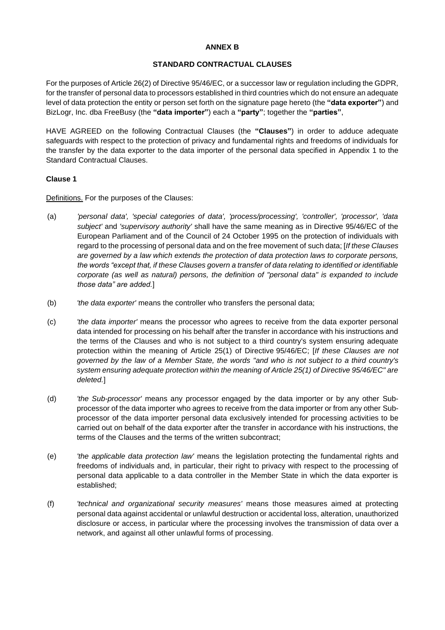#### **ANNEX B**

#### **STANDARD CONTRACTUAL CLAUSES**

For the purposes of Article 26(2) of Directive 95/46/EC, or a successor law or regulation including the GDPR, for the transfer of personal data to processors established in third countries which do not ensure an adequate level of data protection the entity or person set forth on the signature page hereto (the **"data exporter"**) and BizLogr, Inc. dba FreeBusy (the **"data importer"**) each a **"party"**; together the **"parties"**,

HAVE AGREED on the following Contractual Clauses (the **"Clauses"**) in order to adduce adequate safeguards with respect to the protection of privacy and fundamental rights and freedoms of individuals for the transfer by the data exporter to the data importer of the personal data specified in Appendix 1 to the Standard Contractual Clauses.

### **Clause 1**

Definitions. For the purposes of the Clauses:

- (a) *'personal data', 'special categories of data', 'process/processing', 'controller', 'processor', 'data subject'* and *'supervisory authority'* shall have the same meaning as in Directive 95/46/EC of the European Parliament and of the Council of 24 October 1995 on the protection of individuals with regard to the processing of personal data and on the free movement of such data; [*If these Clauses are governed by a law which extends the protection of data protection laws to corporate persons, the words "except that, if these Clauses govern a transfer of data relating to identified or identifiable corporate (as well as natural) persons, the definition of "personal data" is expanded to include those data" are added.*]
- (b) *'the data exporter'* means the controller who transfers the personal data;
- (c) *'the data importer'* means the processor who agrees to receive from the data exporter personal data intended for processing on his behalf after the transfer in accordance with his instructions and the terms of the Clauses and who is not subject to a third country's system ensuring adequate protection within the meaning of Article 25(1) of Directive 95/46/EC; [*If these Clauses are not governed by the law of a Member State, the words "and who is not subject to a third country's system ensuring adequate protection within the meaning of Article 25(1) of Directive 95/46/EC" are deleted.*]
- (d) *'the Sub-processor'* means any processor engaged by the data importer or by any other Subprocessor of the data importer who agrees to receive from the data importer or from any other Subprocessor of the data importer personal data exclusively intended for processing activities to be carried out on behalf of the data exporter after the transfer in accordance with his instructions, the terms of the Clauses and the terms of the written subcontract;
- (e) *'the applicable data protection law'* means the legislation protecting the fundamental rights and freedoms of individuals and, in particular, their right to privacy with respect to the processing of personal data applicable to a data controller in the Member State in which the data exporter is established;
- (f) *'technical and organizational security measures'* means those measures aimed at protecting personal data against accidental or unlawful destruction or accidental loss, alteration, unauthorized disclosure or access, in particular where the processing involves the transmission of data over a network, and against all other unlawful forms of processing.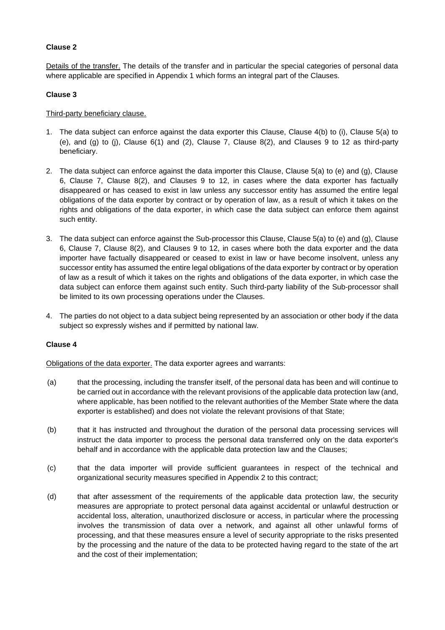Details of the transfer. The details of the transfer and in particular the special categories of personal data where applicable are specified in Appendix 1 which forms an integral part of the Clauses.

### **Clause 3**

#### Third-party beneficiary clause.

- 1. The data subject can enforce against the data exporter this Clause, Clause 4(b) to (i), Clause 5(a) to (e), and (g) to (j), Clause 6(1) and (2), Clause 7, Clause 8(2), and Clauses 9 to 12 as third-party beneficiary.
- 2. The data subject can enforce against the data importer this Clause, Clause 5(a) to (e) and (g), Clause 6, Clause 7, Clause 8(2), and Clauses 9 to 12, in cases where the data exporter has factually disappeared or has ceased to exist in law unless any successor entity has assumed the entire legal obligations of the data exporter by contract or by operation of law, as a result of which it takes on the rights and obligations of the data exporter, in which case the data subject can enforce them against such entity.
- 3. The data subject can enforce against the Sub-processor this Clause, Clause 5(a) to (e) and (g), Clause 6, Clause 7, Clause 8(2), and Clauses 9 to 12, in cases where both the data exporter and the data importer have factually disappeared or ceased to exist in law or have become insolvent, unless any successor entity has assumed the entire legal obligations of the data exporter by contract or by operation of law as a result of which it takes on the rights and obligations of the data exporter, in which case the data subject can enforce them against such entity. Such third-party liability of the Sub-processor shall be limited to its own processing operations under the Clauses.
- 4. The parties do not object to a data subject being represented by an association or other body if the data subject so expressly wishes and if permitted by national law.

### **Clause 4**

Obligations of the data exporter. The data exporter agrees and warrants:

- (a) that the processing, including the transfer itself, of the personal data has been and will continue to be carried out in accordance with the relevant provisions of the applicable data protection law (and, where applicable, has been notified to the relevant authorities of the Member State where the data exporter is established) and does not violate the relevant provisions of that State;
- (b) that it has instructed and throughout the duration of the personal data processing services will instruct the data importer to process the personal data transferred only on the data exporter's behalf and in accordance with the applicable data protection law and the Clauses;
- (c) that the data importer will provide sufficient guarantees in respect of the technical and organizational security measures specified in Appendix 2 to this contract;
- (d) that after assessment of the requirements of the applicable data protection law, the security measures are appropriate to protect personal data against accidental or unlawful destruction or accidental loss, alteration, unauthorized disclosure or access, in particular where the processing involves the transmission of data over a network, and against all other unlawful forms of processing, and that these measures ensure a level of security appropriate to the risks presented by the processing and the nature of the data to be protected having regard to the state of the art and the cost of their implementation;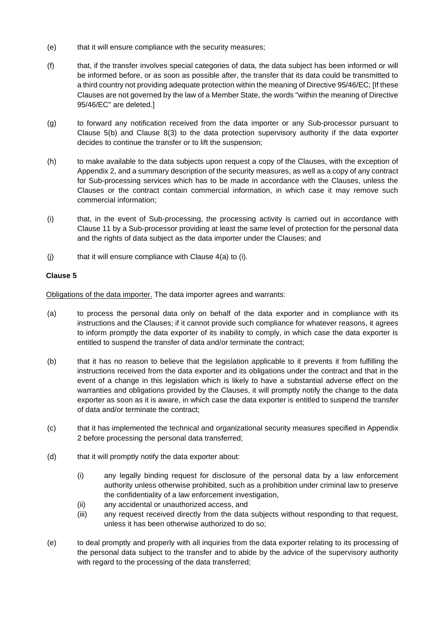- (e) that it will ensure compliance with the security measures;
- (f) that, if the transfer involves special categories of data, the data subject has been informed or will be informed before, or as soon as possible after, the transfer that its data could be transmitted to a third country not providing adequate protection within the meaning of Directive 95/46/EC; [If these Clauses are not governed by the law of a Member State, the words "within the meaning of Directive 95/46/EC" are deleted.]
- (g) to forward any notification received from the data importer or any Sub-processor pursuant to Clause 5(b) and Clause 8(3) to the data protection supervisory authority if the data exporter decides to continue the transfer or to lift the suspension;
- (h) to make available to the data subjects upon request a copy of the Clauses, with the exception of Appendix 2, and a summary description of the security measures, as well as a copy of any contract for Sub-processing services which has to be made in accordance with the Clauses, unless the Clauses or the contract contain commercial information, in which case it may remove such commercial information;
- (i) that, in the event of Sub-processing, the processing activity is carried out in accordance with Clause 11 by a Sub-processor providing at least the same level of protection for the personal data and the rights of data subject as the data importer under the Clauses; and
- $(i)$  that it will ensure compliance with Clause  $4(a)$  to  $(i)$ .

Obligations of the data importer. The data importer agrees and warrants:

- (a) to process the personal data only on behalf of the data exporter and in compliance with its instructions and the Clauses; if it cannot provide such compliance for whatever reasons, it agrees to inform promptly the data exporter of its inability to comply, in which case the data exporter is entitled to suspend the transfer of data and/or terminate the contract;
- (b) that it has no reason to believe that the legislation applicable to it prevents it from fulfilling the instructions received from the data exporter and its obligations under the contract and that in the event of a change in this legislation which is likely to have a substantial adverse effect on the warranties and obligations provided by the Clauses, it will promptly notify the change to the data exporter as soon as it is aware, in which case the data exporter is entitled to suspend the transfer of data and/or terminate the contract;
- (c) that it has implemented the technical and organizational security measures specified in Appendix 2 before processing the personal data transferred;
- (d) that it will promptly notify the data exporter about:
	- (i) any legally binding request for disclosure of the personal data by a law enforcement authority unless otherwise prohibited, such as a prohibition under criminal law to preserve the confidentiality of a law enforcement investigation,
	- (ii) any accidental or unauthorized access, and
	- (iii) any request received directly from the data subjects without responding to that request, unless it has been otherwise authorized to do so;
- (e) to deal promptly and properly with all inquiries from the data exporter relating to its processing of the personal data subject to the transfer and to abide by the advice of the supervisory authority with regard to the processing of the data transferred;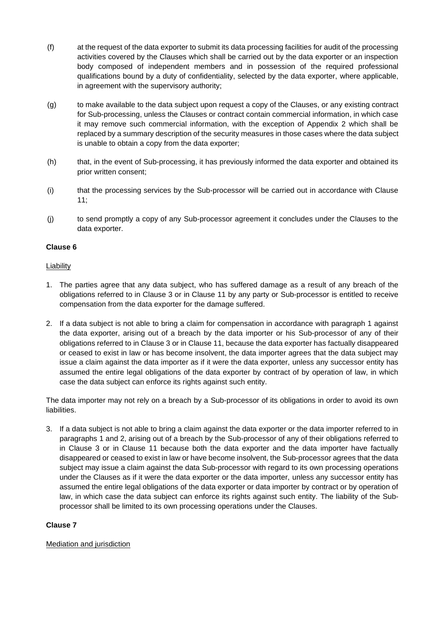- (f) at the request of the data exporter to submit its data processing facilities for audit of the processing activities covered by the Clauses which shall be carried out by the data exporter or an inspection body composed of independent members and in possession of the required professional qualifications bound by a duty of confidentiality, selected by the data exporter, where applicable, in agreement with the supervisory authority;
- (g) to make available to the data subject upon request a copy of the Clauses, or any existing contract for Sub-processing, unless the Clauses or contract contain commercial information, in which case it may remove such commercial information, with the exception of Appendix 2 which shall be replaced by a summary description of the security measures in those cases where the data subject is unable to obtain a copy from the data exporter;
- (h) that, in the event of Sub-processing, it has previously informed the data exporter and obtained its prior written consent;
- (i) that the processing services by the Sub-processor will be carried out in accordance with Clause 11;
- (j) to send promptly a copy of any Sub-processor agreement it concludes under the Clauses to the data exporter.

### Liability

- 1. The parties agree that any data subject, who has suffered damage as a result of any breach of the obligations referred to in Clause 3 or in Clause 11 by any party or Sub-processor is entitled to receive compensation from the data exporter for the damage suffered.
- 2. If a data subject is not able to bring a claim for compensation in accordance with paragraph 1 against the data exporter, arising out of a breach by the data importer or his Sub-processor of any of their obligations referred to in Clause 3 or in Clause 11, because the data exporter has factually disappeared or ceased to exist in law or has become insolvent, the data importer agrees that the data subject may issue a claim against the data importer as if it were the data exporter, unless any successor entity has assumed the entire legal obligations of the data exporter by contract of by operation of law, in which case the data subject can enforce its rights against such entity.

The data importer may not rely on a breach by a Sub-processor of its obligations in order to avoid its own liabilities.

3. If a data subject is not able to bring a claim against the data exporter or the data importer referred to in paragraphs 1 and 2, arising out of a breach by the Sub-processor of any of their obligations referred to in Clause 3 or in Clause 11 because both the data exporter and the data importer have factually disappeared or ceased to exist in law or have become insolvent, the Sub-processor agrees that the data subject may issue a claim against the data Sub-processor with regard to its own processing operations under the Clauses as if it were the data exporter or the data importer, unless any successor entity has assumed the entire legal obligations of the data exporter or data importer by contract or by operation of law, in which case the data subject can enforce its rights against such entity. The liability of the Subprocessor shall be limited to its own processing operations under the Clauses.

### **Clause 7**

Mediation and jurisdiction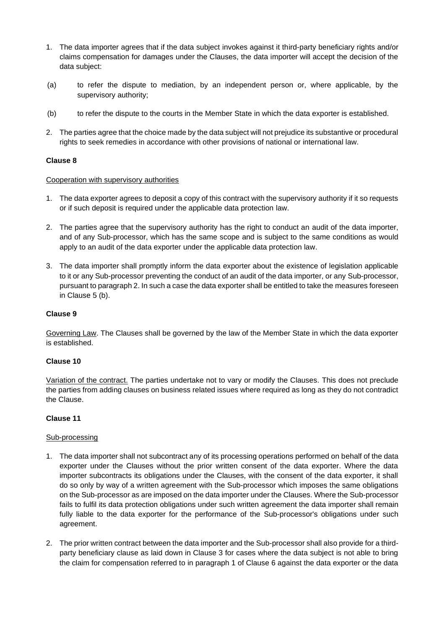- 1. The data importer agrees that if the data subject invokes against it third-party beneficiary rights and/or claims compensation for damages under the Clauses, the data importer will accept the decision of the data subject:
- (a) to refer the dispute to mediation, by an independent person or, where applicable, by the supervisory authority;
- (b) to refer the dispute to the courts in the Member State in which the data exporter is established.
- 2. The parties agree that the choice made by the data subject will not prejudice its substantive or procedural rights to seek remedies in accordance with other provisions of national or international law.

### Cooperation with supervisory authorities

- 1. The data exporter agrees to deposit a copy of this contract with the supervisory authority if it so requests or if such deposit is required under the applicable data protection law.
- 2. The parties agree that the supervisory authority has the right to conduct an audit of the data importer, and of any Sub-processor, which has the same scope and is subject to the same conditions as would apply to an audit of the data exporter under the applicable data protection law.
- 3. The data importer shall promptly inform the data exporter about the existence of legislation applicable to it or any Sub-processor preventing the conduct of an audit of the data importer, or any Sub-processor, pursuant to paragraph 2. In such a case the data exporter shall be entitled to take the measures foreseen in Clause 5 (b).

### **Clause 9**

Governing Law. The Clauses shall be governed by the law of the Member State in which the data exporter is established.

### **Clause 10**

Variation of the contract. The parties undertake not to vary or modify the Clauses. This does not preclude the parties from adding clauses on business related issues where required as long as they do not contradict the Clause.

### **Clause 11**

### Sub-processing

- 1. The data importer shall not subcontract any of its processing operations performed on behalf of the data exporter under the Clauses without the prior written consent of the data exporter. Where the data importer subcontracts its obligations under the Clauses, with the consent of the data exporter, it shall do so only by way of a written agreement with the Sub-processor which imposes the same obligations on the Sub-processor as are imposed on the data importer under the Clauses. Where the Sub-processor fails to fulfil its data protection obligations under such written agreement the data importer shall remain fully liable to the data exporter for the performance of the Sub-processor's obligations under such agreement.
- 2. The prior written contract between the data importer and the Sub-processor shall also provide for a thirdparty beneficiary clause as laid down in Clause 3 for cases where the data subject is not able to bring the claim for compensation referred to in paragraph 1 of Clause 6 against the data exporter or the data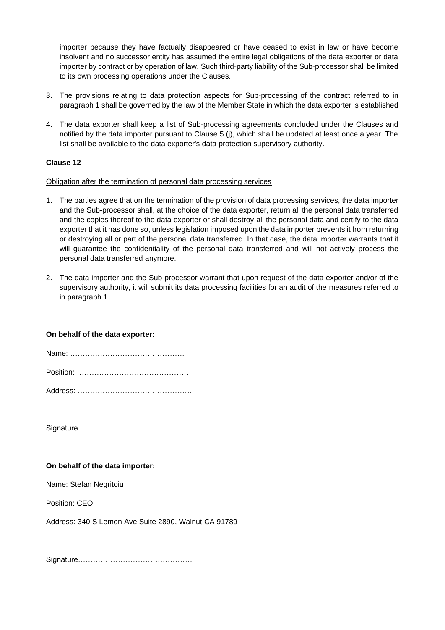importer because they have factually disappeared or have ceased to exist in law or have become insolvent and no successor entity has assumed the entire legal obligations of the data exporter or data importer by contract or by operation of law. Such third-party liability of the Sub-processor shall be limited to its own processing operations under the Clauses.

- 3. The provisions relating to data protection aspects for Sub-processing of the contract referred to in paragraph 1 shall be governed by the law of the Member State in which the data exporter is established
- 4. The data exporter shall keep a list of Sub-processing agreements concluded under the Clauses and notified by the data importer pursuant to Clause 5 (j), which shall be updated at least once a year. The list shall be available to the data exporter's data protection supervisory authority.

# **Clause 12**

### Obligation after the termination of personal data processing services

- 1. The parties agree that on the termination of the provision of data processing services, the data importer and the Sub-processor shall, at the choice of the data exporter, return all the personal data transferred and the copies thereof to the data exporter or shall destroy all the personal data and certify to the data exporter that it has done so, unless legislation imposed upon the data importer prevents it from returning or destroying all or part of the personal data transferred. In that case, the data importer warrants that it will guarantee the confidentiality of the personal data transferred and will not actively process the personal data transferred anymore.
- 2. The data importer and the Sub-processor warrant that upon request of the data exporter and/or of the supervisory authority, it will submit its data processing facilities for an audit of the measures referred to in paragraph 1.

#### **On behalf of the data exporter:**

Signature……………………………………….

### **On behalf of the data importer:**

Name: Stefan Negritoiu

Position: CEO

Address: 340 S Lemon Ave Suite 2890, Walnut CA 91789

Signature……………………………………….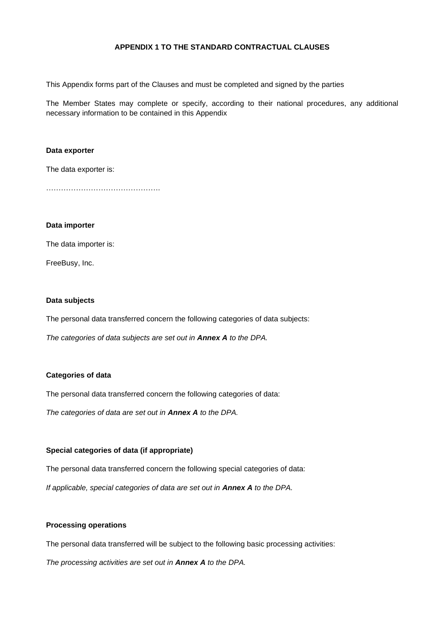# **APPENDIX 1 TO THE STANDARD CONTRACTUAL CLAUSES**

This Appendix forms part of the Clauses and must be completed and signed by the parties

The Member States may complete or specify, according to their national procedures, any additional necessary information to be contained in this Appendix

#### **Data exporter**

The data exporter is:

……………………………………….

#### **Data importer**

The data importer is:

FreeBusy, Inc.

### **Data subjects**

The personal data transferred concern the following categories of data subjects:

*The categories of data subjects are set out in Annex A to the DPA.*

#### **Categories of data**

The personal data transferred concern the following categories of data:

*The categories of data are set out in Annex A to the DPA.*

### **Special categories of data (if appropriate)**

The personal data transferred concern the following special categories of data:

*If applicable, special categories of data are set out in Annex A to the DPA.*

# **Processing operations**

The personal data transferred will be subject to the following basic processing activities:

*The processing activities are set out in Annex A to the DPA.*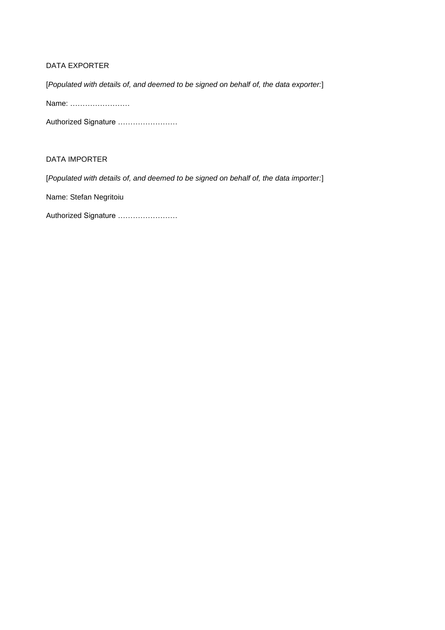## DATA EXPORTER

[*Populated with details of, and deemed to be signed on behalf of, the data exporter:*]

Name: ……………………

Authorized Signature ……………………

DATA IMPORTER

[*Populated with details of, and deemed to be signed on behalf of, the data importer:*]

Name: Stefan Negritoiu

Authorized Signature ……………………